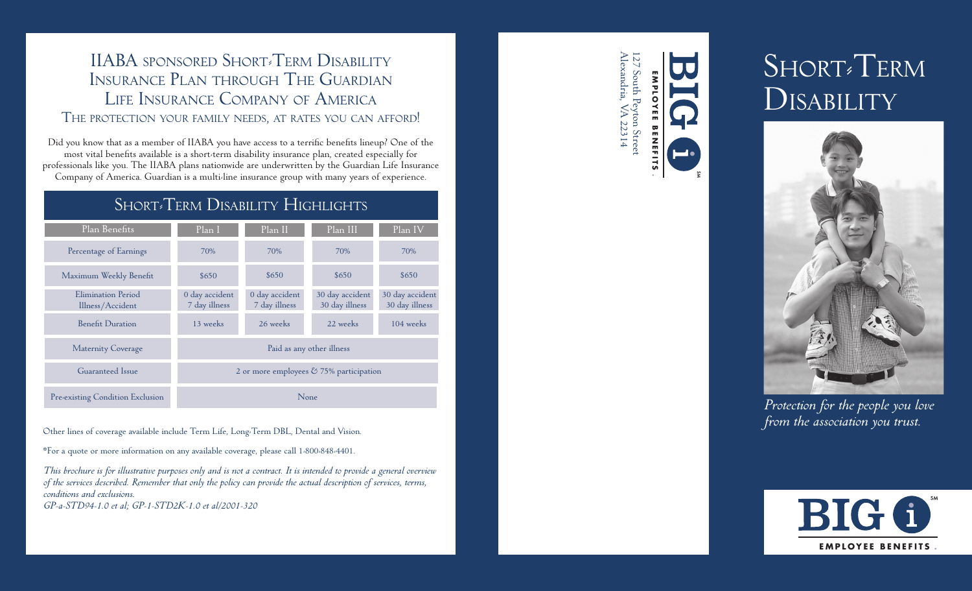### IIABA SPONSORED SHORT<sup>&</sup>TERM DISABILITY Insurance Plan through The Guardian Life Insurance Company of America The protection your family needs, at rates you can afford!

Did you know that as a member of IIABA you have access to a terrific benefits lineup? One of the most vital benefits available is a short-term disability insurance plan, created especially for professionals like you. The IIABA plans nationwide are underwritten by the Guardian Life Insurance Company of America. Guardian is a multi-line insurance group with many years of experience.

## SHORT<sup>®</sup>Term Disability Highlights

| Plan Benefits                                | Plan I                                     | Plan II                         | Plan III                          | Plan IV                           |
|----------------------------------------------|--------------------------------------------|---------------------------------|-----------------------------------|-----------------------------------|
| Percentage of Earnings                       | 70%                                        | 70%                             | 70%                               | 70%                               |
| Maximum Weekly Benefit                       | \$650                                      | \$650                           | \$650                             | \$650                             |
| Elimination Period<br>Illness/Accident       | 0 day accident<br>7 day illness            | 0 day accident<br>7 day illness | 30 day accident<br>30 day illness | 30 day accident<br>30 day illness |
| <b>Benefit Duration</b>                      | 13 weeks                                   | 26 weeks                        | 22 weeks                          | 104 weeks                         |
| <b>Maternity Coverage</b>                    | Paid as any other illness                  |                                 |                                   |                                   |
| Guaranteed Issue                             | 2 or more employees $& 75\%$ participation |                                 |                                   |                                   |
| Pre <sub>sexisting</sub> Condition Exclusion | None                                       |                                 |                                   |                                   |

*from the association you trust.* Other lines of coverage available include Term Life, Long-Term DBL, Dental and Vision.

\*For a quote or more information on any available coverage, please call 1-800-848-4401.

*This brochure is for illustrative purposes only and is not a contract. It is intended to provide a general overview of the services described. Remember that only the policy can provide the actual description of services, terms, conditions and exclusions.*

*GP-a-STD94-1.0 et al; GP-1-STD2K-1.0 et al/2001-320*

Alexandria, VA 22314 127 South Peyton Street lexandria, South Peyton Stree **E M P L OYEE** WA 22314 **BENE BENEFIT**

<u>ហ</u>

# Short-Term **DISABILITY**



*Protection for the people you love*